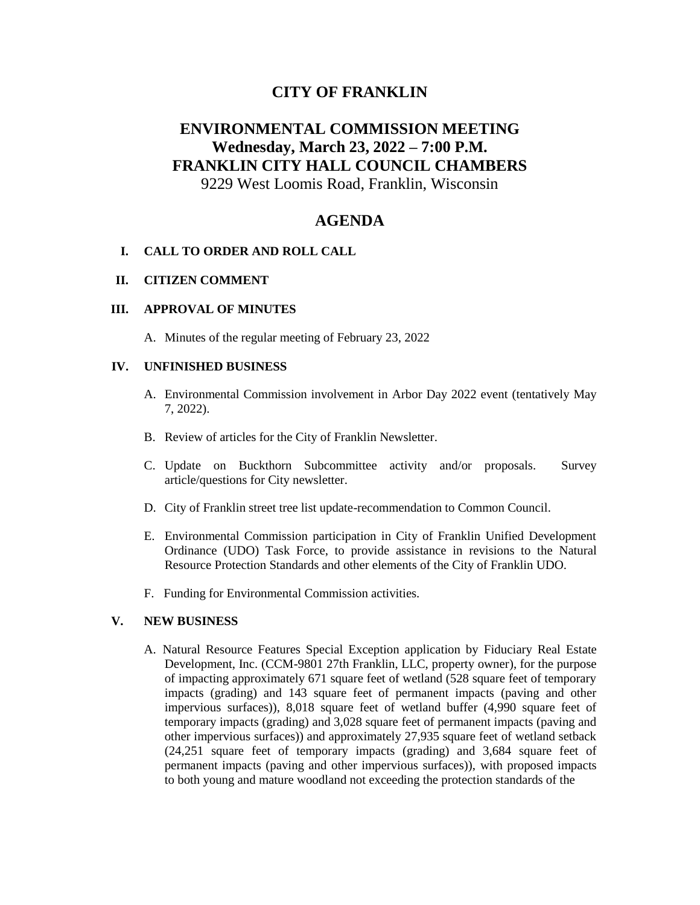# **CITY OF FRANKLIN**

# **ENVIRONMENTAL COMMISSION MEETING Wednesday, March 23, 2022 – 7:00 P.M. FRANKLIN CITY HALL COUNCIL CHAMBERS**

9229 West Loomis Road, Franklin, Wisconsin

# **AGENDA**

## **I. CALL TO ORDER AND ROLL CALL**

## **II. CITIZEN COMMENT**

#### **III. APPROVAL OF MINUTES**

A. Minutes of the regular meeting of February 23, 2022

#### **IV. UNFINISHED BUSINESS**

- A. Environmental Commission involvement in Arbor Day 2022 event (tentatively May 7, 2022).
- B. Review of articles for the City of Franklin Newsletter.
- C. Update on Buckthorn Subcommittee activity and/or proposals. Survey article/questions for City newsletter.
- D. City of Franklin street tree list update-recommendation to Common Council.
- E. Environmental Commission participation in City of Franklin Unified Development Ordinance (UDO) Task Force, to provide assistance in revisions to the Natural Resource Protection Standards and other elements of the City of Franklin UDO.
- F. Funding for Environmental Commission activities.

## **V. NEW BUSINESS**

A. Natural Resource Features Special Exception application by Fiduciary Real Estate Development, Inc. (CCM-9801 27th Franklin, LLC, property owner), for the purpose of impacting approximately 671 square feet of wetland (528 square feet of temporary impacts (grading) and 143 square feet of permanent impacts (paving and other impervious surfaces)), 8,018 square feet of wetland buffer (4,990 square feet of temporary impacts (grading) and 3,028 square feet of permanent impacts (paving and other impervious surfaces)) and approximately 27,935 square feet of wetland setback (24,251 square feet of temporary impacts (grading) and 3,684 square feet of permanent impacts (paving and other impervious surfaces)), with proposed impacts to both young and mature woodland not exceeding the protection standards of the